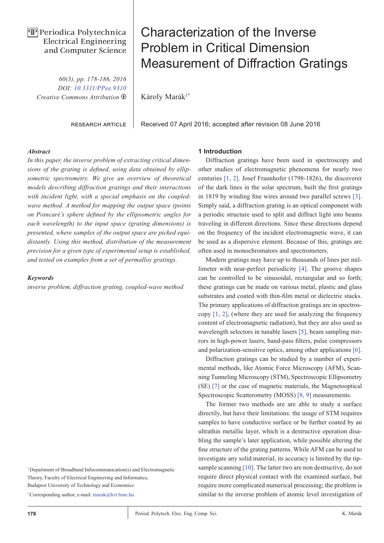# **PP** Periodica Polytechnica Electrical Engineering and Computer Science

*60(3), pp. 178-186, 2016 DOI: [10.3311/PPee.9310](http://dx.doi.org/10.3311/PPee.9310) Creative Commons Attribution* b

research article

# Characterization of the Inverse Problem in Critical Dimension Measurement of Diffraction Gratings

Károly Marák<sup>1\*</sup>

Received 07 April 2016; accepted after revision 08 June 2016

### <span id="page-0-0"></span>*Abstract*

*In this paper, the inverse problem of extracting critical dimensions of the grating is defined, using data obtained by ellipsometric spectrometry. We give an overview of theoretical models describing diffraction gratings and their interactions with incident light, with a special emphasis on the coupledwave method. A method for mapping the output space (points on Poincaré's sphere defined by the ellipsometric angles for each wavelength) to the input space (grating dimensions) is presented, where samples of the output space are picked equidistantly. Using this method, distribution of the measurement precision for a given type of experimental setup is established, and tested on examples from a set of permalloy gratings.*

#### *Keywords*

*inverse problem, diffraction grating, coupled-wave method*

\* Corresponding author, e-mail: marak@hvt.bme.hu

## **1 Introduction**

Diffraction gratings have been used in spectroscopy and other studies of electromagnetic phenomena for nearly two centuries [\[1,](#page-8-0) [2\].](#page-8-1) Josef Fraunhofer (1798-1826), the discoverer of the dark lines in the solar spectrum, built the first gratings in 1819 by winding fine wires around two parallel screws [\[3\].](#page-8-2) Simply said, a diffraction grating is an optical component with a periodic structure used to split and diffract light into beams traveling in different directions. Since these directions depend on the frequency of the incident electromagnetic wave, it can be used as a dispersive element. Because of this, gratings are often used in monochromators and spectrometers.

Modern gratings may have up to thousands of lines per millimeter with near-perfect periodicity [\[4\].](#page-8-3) The groove shapes can be controlled to be sinusoidal, rectangular and so forth; these gratings can be made on various metal, plastic and glass substrates and coated with thin-film metal or dielectric stacks. The primary applications of diffraction gratings are in spectroscopy [\[1,](#page-8-0) [2\],](#page-8-1) (where they are used for analyzing the frequency content of electromagnetic radiation), but they are also used as wavelength selectors in tunable lasers [\[5\],](#page-8-4) beam sampling mirrors in high-power lasers, band-pass filters, pulse compressors and polarization-sensitive optics, among other applications [\[6\].](#page-8-5)

Diffraction gratings can be studied by a number of experimental methods, like Atomic Force Microscopy (AFM), Scanning Tunneling Microscopy (STM), Spectroscopic Ellipsometry (SE) [\[7\]](#page-8-6) or the case of magnetic materials, the Magnetooptical Spectroscopic Scatterometry (MOSS) [\[8,](#page-8-7) [9\]](#page-8-8) measurements.

The former two methods are are able to study a surface directily, but have their limitations: the usage of STM requires samples to have conductive surface or be further coated by an ultrathin metallic layer, which is a destructive operation disabling the sample's later application, while possible altering the fine structure of the grating patterns. While AFM can be used to investigate any solid material, its accuracy is limited by the tip-sample scanning [\[10\]](#page-8-9). The latter two are non destructive, do not require direct physical contact with the examined surface, but require more complicated numerical processing; the problem is similar to the inverse problem of atomic level investigation of

<sup>&</sup>lt;sup>1</sup> Department of Broadband Infocommunication(s) and Electromagnetic Theory, Faculty of Electrical Engineering and Informatics, Budapest University of Technology and Economics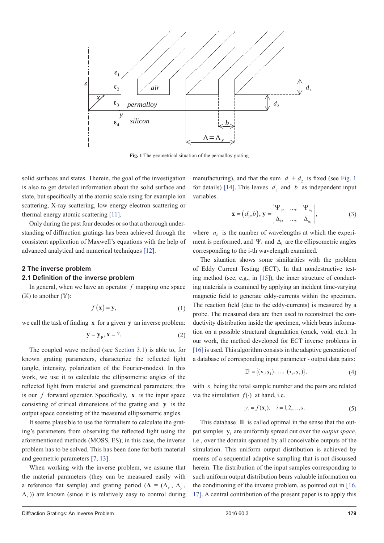<span id="page-1-0"></span>

**Fig. 1** The geometrical situation of the permalloy grating

solid surfaces and states. Therein, the goal of the investigation is also to get detailed information about the solid surface and state, but specifically at the atomic scale using for example ion scattering, X-ray scattering, low energy electron scattering or thermal energy atomic scattering [\[11\].](#page-8-10)

Only during the past four decades or so that a thorough understanding of diffraction gratings has been achieved through the consistent application of Maxwell's equations with the help of advanced analytical and numerical techniques [\[12\]](#page-8-11).

## **2 The inverse problem**

## **2.1 Definition of the inverse problem**

In general, when we have an operator *f* mapping one space  $(\mathbb{X})$  to another  $(\mathbb{Y})$ :

$$
f(\mathbf{x}) = \mathbf{y},\tag{1}
$$

we call the task of finding **x** for a given **y** an inverse problem:

$$
\mathbf{y} = \mathbf{y}_p, \mathbf{x} = ?.
$$
 (2)

The coupled wave method (see [Section 3.1\)](#page-2-0) is able to, for known grating parameters, characterize the reflected light (angle, intensity, polarization of the Fourier-modes). In this work, we use it to calculate the ellipsometric angles of the reflected light from material and geometrical parameters; this is our  $f$  forward operator. Specifically,  $\bf{x}$  is the input space consisting of critical dimensions of the grating and **y** is the output space consisting of the measured ellipsometric angles.

It seems plausible to use the formalism to calculate the grating's parameters from observing the reflected light using the aforementioned methods (MOSS, ES); in this case, the inverse problem has to be solved. This has been done for both material and geometric parameters [\[7,](#page-8-6) [13\]](#page-8-12).

When working with the inverse problem, we assume that the material parameters (they can be measured easily with a reference flat sample) and grating period ( $\Lambda = (\Lambda_{r}, \Lambda_{v}, \Lambda_{v})$ Λ*<sup>z</sup>* )) are known (since it is relatively easy to control during

manufacturing), and that the sum  $d_1 + d_2$  is fixed (see [Fig. 1](#page-1-0)) for details) [\[14\].](#page-8-13) This leaves  $d_1$  and  $b$  as independent input variables.

$$
\mathbf{x} = (d_1, b), \mathbf{y} = \begin{pmatrix} \Psi_1, & \dots, & \Psi_{n_{\lambda}} \\ \Delta_1, & \dots, & \Delta_{n_{\lambda}} \end{pmatrix},
$$
(3)

where  $n_{\lambda}$  is the number of wavelengths at which the experiment is performed, and  $\Psi_i$  and  $\Delta_i$  are the ellipsometric angles corresponding to the i-th wavelength examined.

The situation shows some similarities with the problem of Eddy Current Testing (ECT). In that nondestructive testing method (see, e.g., in [\[15\]\)](#page-8-14), the inner structure of conducting materials is examined by applying an incident time-varying magnetic field to generate eddy-currents within the specimen. The reaction field (due to the eddy-currents) is measured by a probe. The measured data are then used to reconstruct the conductivity distribution inside the specimen, which bears information on a possible structural degradation (crack, void, etc.). In our work, the method developed for ECT inverse problems in [\[16\]](#page-8-15) is used. This algorithm consists in the adaptive generation of a database of corresponding input parameter - output data pairs:

$$
\mathbb{D} = \{(\mathbf{x}_1, \mathbf{y}_1), \ldots, (\mathbf{x}_s, \mathbf{y}_s)\},\tag{4}
$$

with *s* being the total sample number and the pairs are related via the simulation *f*(∙) at hand, i.e.

$$
y_i = f(\mathbf{x}_i), \quad i = 1, 2, ..., s. \tag{5}
$$

This database  $\mathbb D$  is called optimal in the sense that the output samples **y***<sup>i</sup>* are uniformly spread out over the *output space*, i.e., over the domain spanned by all conceivable outputs of the simulation. This uniform output distribution is achieved by means of a sequential adaptive sampling that is not discussed herein. The distribution of the input samples corresponding to such uniform output distribution bears valuable information on the conditioning of the inverse problem, as pointed out in [\[16,](#page-8-15) [17\].](#page-8-16) A central contribution of the present paper is to apply this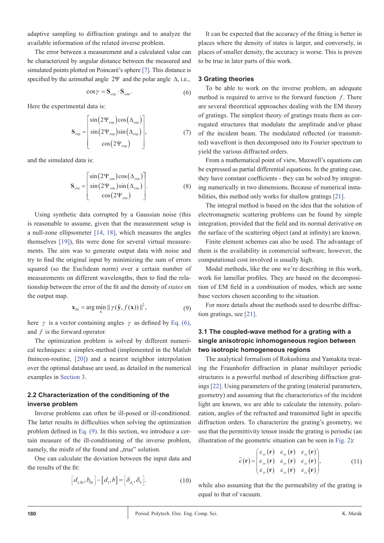adaptive sampling to diffraction gratings and to analyze the available information of the related inverse problem.

The error between a measurement and a calculated value can be characterized by angular distance between the measured and simulated points plotted on Poincaré's sphere [\[7\].](#page-8-6) This distance is specified by the azimuthal angle 2Ψ and the polar angle  $\Delta$ , i.e.,

$$
\cos \gamma = \mathbf{S}_{\text{exp}} \cdot \mathbf{S}_{\text{sim}}.\tag{6}
$$

<span id="page-2-1"></span>Here the experimental data is:

$$
\mathbf{S}_{\text{exp}} = \begin{bmatrix} \sin(2\Psi_{\text{exp}})\cos(\Delta_{\text{exp}}) \\ \sin(2\Psi_{\text{exp}})\sin(\Delta_{\text{exp}}) \\ \cos(2\Psi_{\text{exp}}) \end{bmatrix}, \tag{7}
$$

and the simulated data is:

$$
\mathbf{S}_{sim} = \begin{bmatrix} \sin(2\Psi_{sim})\cos(\Delta_{sim})\\ \sin(2\Psi_{sim})\sin(\Delta_{sim})\\ \cos(2\Psi_{sim}) \end{bmatrix} . \tag{8}
$$

Using synthetic data corrupted by a Gaussian noise (this is reasonable to assume, given that the measurement setup is a null-zone ellipsometer [\[14,](#page-8-13) [18\],](#page-8-17) which measures the angles themselves [\[19\]](#page-8-18)), fits were done for several virtual measurements. The aim was to generate output data with noise and try to find the original input by minimizing the sum of errors squared (so the Euclidean norm) over a certain number of measurements on different wavelengths, then to find the relationship between the error of the fit and the density of *states* on the output map.

$$
\mathbf{x}_{\text{fit}} = \arg\min_{\mathbf{x}} \|\gamma(\tilde{\mathbf{y}}, f(\mathbf{x}))\|^2, \tag{9}
$$

<span id="page-2-3"></span>here *γ* is a vector containing angles *γ* as defined by [Eq. \(6\),](#page-2-1) and *f* is the forward operator.

The optimization problem is solved by different numerical techniques: a simplex-method (implemented in the Matlab fmincon-routine, [\[20\]\)](#page-8-19) and a nearest neighbor interpolation over the optimal database are used, as detailed in the numerical examples in [Section 3.](#page-2-2)

## **2.2 Characterization of the conditioning of the inverse problem**

Inverse problems can often be ill-posed or ill-conditioned. The latter results in difficulties when solving the optimization problem defined in [Eq. \(9\)](#page-2-3). In this section, we introduce a certain measure of the ill-conditioning of the inverse problem, namely, the misfit of the found and "true" solution.

One can calculate the deviation between the input data and the results of the fit:

$$
\left[d_{1,fit}, b_{fit}\right] - \left[d_1, b\right] = \left[\delta_{d_1}, \delta_b\right].\tag{10}
$$

It can be expected that the accuracy of the fitting is better in places where the density of states is larger, and conversely, in places of smaller density, the accuracy is worse. This is proven to be true in later parts of this work.

## <span id="page-2-2"></span>**3 Grating theories**

To be able to work on the inverse problem, an adequate method is required to arrive to the forward function *f*. There are several theoretical approaches dealing with the EM theory of gratings. The simplest theory of gratings treats them as corrugated structures that modulate the amplitude and/or phase of the incident beam. The modulated reflected (or transmitted) wavefront is then decomposed into its Fourier spectrum to yield the various diffracted orders.

From a mathematical point of view, Maxwell's equations can be expressed as partial differential equations. In the grating case, they have constant coefficients - they can be solved by integrating numerically in two dimensions. Because of numerical instabilities, this method only works for shallow gratings [\[21\].](#page-8-20)

The integral method is based on the idea that the solution of electromagnetic scattering problems can be found by simple integration, provided that the field and its normal derivative on the surface of the scattering object (and at infinity) are known.

Finite element schemes can also be used. The advantage of them is the availability in commercial software, however, the computational cost involved is usually high.

Modal methods, like the one we're describing in this work, work for lamellar profiles. They are based on the decomposition of EM field in a combination of modes, which are some base vectors chosen according to the situation.

For more details about the methods used to describe diffraction gratings, see [\[21\].](#page-8-20)

# <span id="page-2-0"></span>**3.1 The coupled-wave method for a grating with a single anisotropic inhomogeneous region between two isotropic homogeneous regions**

The analytical formalism of Rokushima and Yamakita treating the Fraunhofer diffraction in planar multilayer periodic structures is a powerful method of describing diffraction gratings [\[22\]](#page-8-21). Using parameters of the grating (material parameters, geometry) and assuming that the characteristics of the incident light are known, we are able to calculate the intensity, polarization, angles of the refracted and transmitted light in specific diffraction orders. To characterize the grating's geometry, we use that the permittivity tensor inside the grating is periodic (an illustration of the geometric situation can be seen in [Fig. 2\)](#page-0-0):

$$
\vec{\varepsilon}(\mathbf{r}) = \begin{pmatrix} \varepsilon_{xx}(\mathbf{r}) & \varepsilon_{xy}(\mathbf{r}) & \varepsilon_{xz}(\mathbf{r}) \\ \varepsilon_{yx}(\mathbf{r}) & \varepsilon_{yy}(\mathbf{r}) & \varepsilon_{yz}(\mathbf{r}) \\ \varepsilon_{zx}(\mathbf{r}) & \varepsilon_{zy}(\mathbf{r}) & \varepsilon_{zz}(\mathbf{r}) \end{pmatrix},
$$
(11)

while also assuming that the the permeability of the grating is equal to that of vacuum.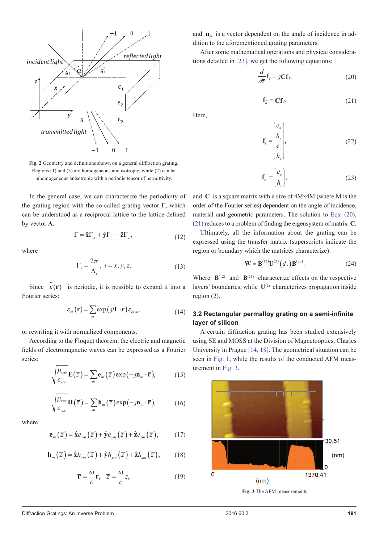

**Fig. 2** Geometry and definitions shown on a general diffraction grating. Regions (1) and (3) are homogeneous and isotropic, while (2) can be inhomogeneous anisotropic with a periodic tensor of permittivity.

In the general case, we can characterize the periodicity of the grating region with the so-called grating vector **Γ**, which can be understood as a reciprocal lattice to the lattice defined by vector **Λ**.

$$
\Gamma = \hat{\mathbf{x}} \Gamma_x + \hat{\mathbf{y}} \Gamma_y + \hat{\mathbf{z}} \Gamma_z, \tag{12}
$$

where

$$
\Gamma_i = \frac{2\pi}{\Lambda_i}, \ i = x, y, z. \tag{13}
$$

Since  $\vec{\varepsilon}(\mathbf{r})$  is periodic, it is possible to expand it into a Fourier series:

$$
\varepsilon_{kl}(\mathbf{r}) = \sum_{m} \exp\left(\jmath l \mathbf{\Gamma} \cdot \mathbf{r}\right) \varepsilon_{kl,m},\tag{14}
$$

or rewriting it with normalized components.

According to the Floquet theorem, the electric and magnetic fields of electromagnetic waves can be expressed as a Fourier series:

$$
\sqrt{\frac{\mu_{vac}}{\varepsilon_{vac}}}\mathbf{E}(\overline{z}) = \sum_{m} \mathbf{e}_{m}(\overline{z}) \exp(-\jmath \mathbf{n}_{m} \cdot \overline{\mathbf{r}}), \qquad (15)
$$

$$
\sqrt{\frac{\mu_{\text{vac}}}{\varepsilon_{\text{vac}}}} \mathbf{H}\left(\overline{z}\right) = \sum_{m} \mathbf{h}_{m}\left(\overline{z}\right) \exp\left(-j\mathbf{n}_{m} \cdot \overline{\mathbf{r}}\right),\tag{16}
$$

where

$$
\mathbf{e}_m(\overline{z}) = \hat{\mathbf{x}} e_{xm}(\overline{z}) + \hat{\mathbf{y}} e_{ym}(\overline{z}) + \hat{\mathbf{z}} e_{zm}(\overline{z}), \qquad (17)
$$

$$
\mathbf{h}_{m}(\overline{z}) = \hat{\mathbf{x}}h_{xm}(\overline{z}) + \hat{\mathbf{y}}h_{ym}(\overline{z}) + \hat{\mathbf{z}}h_{zm}(\overline{z}), \qquad (18)
$$

$$
\overline{\mathbf{r}} = \frac{\omega}{c} \mathbf{r}, \quad \overline{z} = \frac{\omega}{c} z,
$$
 (19)

and  $\mathbf{n}_m$  is a vector dependent on the angle of incidence in addition to the aforementioned grating parameters.

<span id="page-3-0"></span>After some mathematical operations and physical considerations detailed in [\[23\]](#page-8-22), we get the following equations:

$$
\frac{d}{d\overline{z}}\mathbf{f}_{i} = \jmath\mathbf{C}\mathbf{f}_{i},\tag{20}
$$

$$
\mathbf{f}_{\hat{n}} = \mathbf{C} \mathbf{f}_{\hat{r}}.\tag{21}
$$

<span id="page-3-1"></span>Here,

$$
\mathbf{f}_{t} = \begin{bmatrix} e_{x} \\ h_{y} \\ e_{y} \\ h_{x} \end{bmatrix}, \tag{22}
$$

$$
\mathbf{f}_n = \begin{pmatrix} e_z \\ h_z \end{pmatrix},\tag{23}
$$

and **C** is a square matrix with a size of 4Mx4M (where M is the order of the Fourier series) dependent on the angle of incidence, material and geometric parameters. The solution to Eqs. [\(20\)](#page-3-0), [\(21\)](#page-3-1) reduces to a problem of finding the eigensystem of matrix **C**.

Ultimately, all the information about the grating can be expressed using the transfer matrix (superscripts indicate the region or boundary which the matrices characterize):

$$
\mathbf{W} = \mathbf{B}^{(12)} \mathbf{U}^{(2)} (\bar{d}_2) \mathbf{B}^{(23)}.
$$
 (24)

Where  $\mathbf{B}^{(12)}$  and  $\mathbf{B}^{(23)}$  characterize effects on the respective layers' boundaries, while  $U^{(2)}$  characterizes propagation inside region (2).

# **3.2 Rectangular permalloy grating on a semi-infinite layer of silicon**

A certain diffraction grating has been studied extensively using SE and MOSS at the Division of Magnetooptics, Charles University in Prague [\[14,](#page-8-13) [18\].](#page-8-17) The geometrical situation can be seen in [Fig. 1,](#page-1-0) while the results of the conducted AFM measurement in [Fig. 3.](#page-3-2)

<span id="page-3-2"></span>

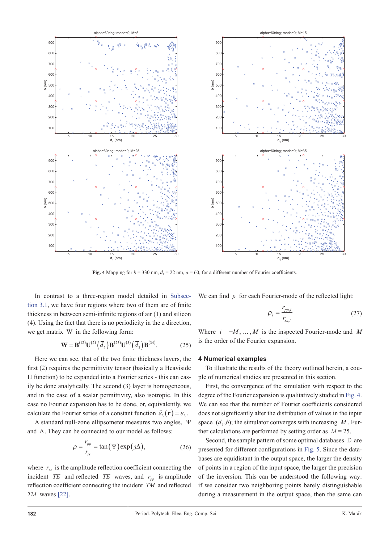<span id="page-4-0"></span>

**Fig. 4** Mapping for  $b = 330$  nm,  $d_1 = 22$  nm,  $\alpha = 60$ , for a different number of Fourier coefficients.

In contrast to a three-region model detailed in [Subsec](#page-2-0)[tion](#page-2-0) 3.1, we have four regions where two of them are of finite thickness in between semi-infinite regions of air (1) and silicon (4). Using the fact that there is no periodicity in the z direction, we get matrix W in the following form:

$$
\mathbf{W} = \mathbf{B}^{(12)} \mathbf{U}^{(2)} (\bar{d}_2) \mathbf{B}^{(23)} \mathbf{U}^{(3)} (\bar{d}_3) \mathbf{B}^{(34)}.
$$
 (25)

Here we can see, that of the two finite thickness layers, the first (2) requires the permittivity tensor (basically a Heaviside Π function) to be expanded into a Fourier series - this can easily be done analytically. The second (3) layer is homogeneous, and in the case of a scalar permittivity, also isotropic. In this case no Fourier expansion has to be done, or, equivalently, we calculate the Fourier series of a constant function  $\vec{\varepsilon}_3(\mathbf{r}) = \varepsilon_3$ .

A standard null-zone ellipsometer measures two angles, Ψ and  $\Delta$ . They can be connected to our model as follows:

$$
\rho = \frac{r_{pp}}{r_{ss}} = \tan(\Psi) \exp(\jmath \Delta), \qquad (26)
$$

where  $r_{ss}$  is the amplitude reflection coefficient connecting the incident *TE* and reflected *TE* waves, and  $r_{np}$  is amplitude reflection coefficient connecting the incident *TM* and reflected *TM* waves [\[22\]](#page-8-21).

We can find  $\rho$  for each Fourier-mode of the reflected light:

$$
\rho_i = \frac{r_{pp,i}}{r_{ss,i}}\tag{27}
$$

Where  $i = -M, ..., M$  is the inspected Fourier-mode and *M* is the order of the Fourier expansion.

#### **4 Numerical examples**

To illustrate the results of the theory outlined herein, a couple of numerical studies are presented in this section.

First, the convergence of the simulation with respect to the degree of the Fourier expansion is qualitatively studied in [Fig.](#page-4-0) 4. We can see that the number of Fourier coefficients considered does not significantly alter the distribution of values in the input space  $(d_1, b)$ ; the simulator converges with increasing *M*. Further calculations are performed by setting order as *M* = 25.

Second, the sample pattern of some optimal databases  $\mathbb D$  are presented for different configurations in [Fig. 5.](#page-5-0) Since the databases are equidistant in the output space, the larger the density of points in a region of the input space, the larger the precision of the inversion. This can be understood the following way: if we consider two neighboring points barely distinguishable during a measurement in the output space, then the same can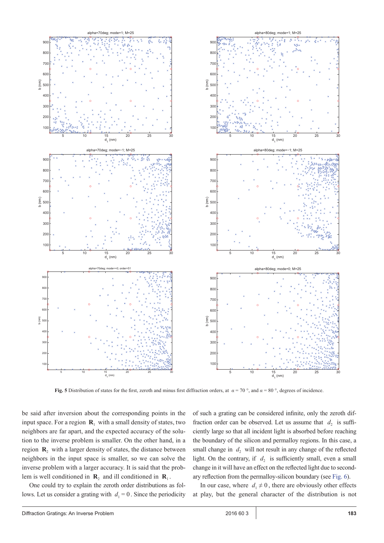<span id="page-5-0"></span>

**Fig. 5** Distribution of states for the first, zeroth and minus first diffraction orders, at  $\alpha = 70^\circ$ , and  $\alpha = 80^\circ$ , degrees of incidence.

be said after inversion about the corresponding points in the input space. For a region  $\mathbf{R}_1$  with a small density of states, two neighbors are far apart, and the expected accuracy of the solution to the inverse problem is smaller. On the other hand, in a region **R**<sub>2</sub> with a larger density of states, the distance between neighbors in the input space is smaller, so we can solve the inverse problem with a larger accuracy. It is said that the problem is well conditioned in  $\mathbf{R}_2$  and ill conditioned in  $\mathbf{R}_1$ .

One could try to explain the zeroth order distributions as follows. Let us consider a grating with  $d_1 = 0$ . Since the periodicity of such a grating can be considered infinite, only the zeroth diffraction order can be observed. Let us assume that  $d_2$  is sufficiently large so that all incident light is absorbed before reaching the boundary of the silicon and permalloy regions. In this case, a small change in  $d_2$  will not result in any change of the reflected light. On the contrary, if  $d_2$  is sufficiently small, even a small change in it will have an effect on the reflected light due to secondary reflection from the permalloy-silicon boundary (see [Fig.](#page-6-0) 6).

In our case, where  $d_1 \neq 0$ , there are obviously other effects at play, but the general character of the distribution is not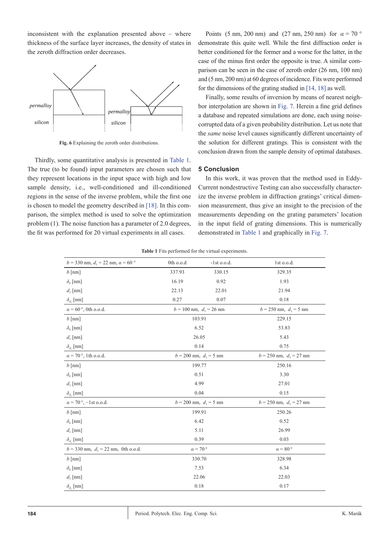inconsistent with the explanation presented above – where thickness of the surface layer increases, the density of states in the zeroth diffraction order decreases.

<span id="page-6-0"></span>

**Fig. 6** Explaining the zeroth order distributions.

Thirdly, some quantitative analysis is presented in [Table](#page-6-1) 1. The true (to be found) input parameters are chosen such that they represent locations in the input space with high and low sample density, i.e., well-conditioned and ill-conditioned regions in the sense of the inverse problem, while the first one is chosen to model the geometry described in [\[18\]](#page-8-17). In this comparison, the simplex method is used to solve the optimization problem (1). The noise function has a parameter of 2.0 degrees, the fit was performed for 20 virtual experiments in all cases.

Points (5 nm, 200 nm) and (27 nm, 250 nm) for  $\alpha = 70$  ° demonstrate this quite well. While the first diffraction order is better conditioned for the former and a worse for the latter, in the case of the minus first order the opposite is true. A similar comparison can be seen in the case of zeroth order (26 nm, 100 nm) and (5 nm, 200 nm) at 60 degrees of incidence. Fits were performed for the dimensions of the grating studied in [\[14,](#page-8-13) [18\]](#page-8-17) as well.

Finally, some results of inversion by means of nearest neighbor interpolation are shown in [Fig. 7](#page-7-0). Herein a fine grid defines a database and repeated simulations are done, each using noisecorrupted data of a given probability distribution. Let us note that the *same* noise level causes significantly different uncertainty of the solution for different gratings. This is consistent with the conclusion drawn from the sample density of optimal databases.

### **5 Conclusion**

<span id="page-6-1"></span>In this work, it was proven that the method used in Eddy-Current nondestructive Testing can also successfully characterize the inverse problem in diffraction gratings' critical dimension measurement, thus give an insight to the precision of the measurements depending on the grating parameters' location in the input field of grating dimensions. This is numerically demonstrated in [Table 1](#page-6-1) and graphically in [Fig. 7.](#page-7-0)

| $b = 330$ nm, $d_1 = 22$ nm, $\alpha = 60$ ° | 0th o.o.d                   | $-1st$ o.o.d. | 1st o.o.d.                  |
|----------------------------------------------|-----------------------------|---------------|-----------------------------|
| $b$ [nm]                                     | 337.93                      | 330.15        | 329.35                      |
| $\delta_b$ [nm]                              | 16.19                       | 0.92          | 1.93                        |
| $d_1$ [nm]                                   | 22.13                       | 22.01         | 21.94                       |
| $\delta_{d_1}$ [nm]                          | 0.27                        | 0.07          | 0.18                        |
| $\alpha$ = 60 $^{\circ}$ , 0th o.o.d.        | $b = 100$ nm, $d_1 = 26$ nm |               | $b = 250$ nm, $d_1 = 5$ nm  |
| $b$ [nm]                                     | 103.91                      |               | 229.15                      |
| $\delta_b$ [nm]                              | 6.52                        |               | 53.83                       |
| $d_1$ [nm]                                   | 26.05                       |               | 5.43                        |
| $\delta_{d_1}$ [nm]                          | 0.14                        |               | 0.75                        |
| $\alpha$ = 70 $^{\circ}$ , 1th o.o.d.        | $b = 200$ nm, $d_1 = 5$ nm  |               | $b = 250$ nm, $d_1 = 27$ nm |
| $b$ [nm]                                     | 199.77                      |               | 250.16                      |
| $\delta_b$ [nm]                              | 0.51                        |               | 3.30                        |
| $d_1$ [nm]                                   | 4.99                        |               | 27.01                       |
| $\delta_{d_1}$ [nm]                          | 0.04                        |               | 0.15                        |
| $\alpha$ = 70 $^{\circ}$ , -1st o.o.d.       | $b = 200$ nm, $d_1 = 5$ nm  |               | $b = 250$ nm, $d_1 = 27$ nm |
| $b$ [nm]                                     | 199.91                      |               | 250.26                      |
| $\delta_b$ [nm]                              | 6.42                        |               | 0.52                        |
| $d_1$ [nm]                                   | 5.11                        |               | 26.99                       |
| $\delta_{d_1}$ [nm]                          | 0.39                        |               | 0.03                        |
| $b = 330$ nm, $d_1 = 22$ nm, 0th o.o.d.      | $\alpha$ = 70 $^{\circ}$    |               | $\alpha$ = 80 $\degree$     |
| $b$ [nm]                                     | 330.70                      |               | 328.98                      |
| $\delta_h$ [nm]                              | 7.53                        |               | 6.34                        |
| $d_1$ [nm]                                   | 22.06                       |               | 22.03                       |
| $\delta_{d_1}$ [nm]                          | 0.18                        |               | 0.17                        |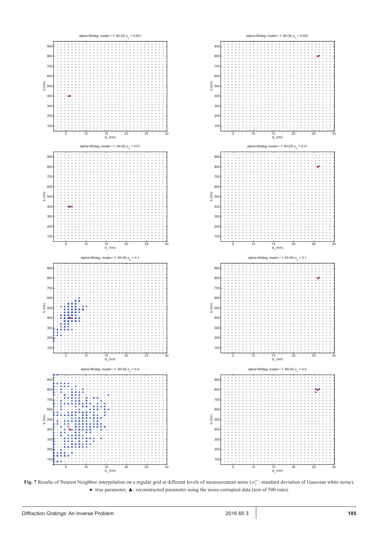<span id="page-7-0"></span>

**Fig.** 7 Results of Nearest Neighbor interpolation on a regular grid at different levels of measuerement noise  $(\sigma_n^{\mu}:$  standard deviation of Gaussian white noise). ●: true parameter, ▲: reconstructed parameter using the noise-corrupted data (test of 500 runs).